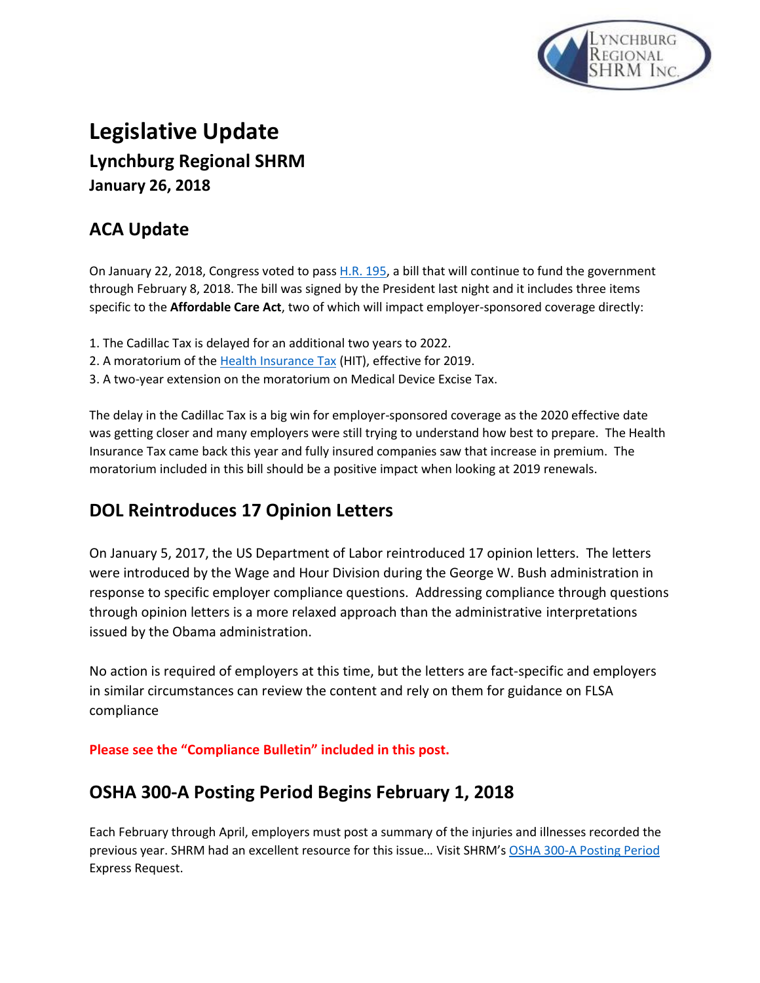

# **Legislative Update Lynchburg Regional SHRM January 26, 2018**

# **ACA Update**

On January 22, 2018, Congress voted to pas[s H.R. 195,](http://www.mmsend79.com/link.cfm?r=8drnVHR4_NZgolhvV-1e1Q~~&pe=Fs188zZCR7RNnnpb3pQjY9H-y0vlX6wKIBV9Au7o-VKtDb_O6inlE6u_j83X715yEINyk5iu_AbqU0RVNk-gxw~~&t=4Sh8aI2Tedavn8hz4jLz5A~~) a bill that will continue to fund the government through February 8, 2018. The bill was signed by the President last night and it includes three items specific to the **Affordable Care Act**, two of which will impact employer-sponsored coverage directly:

- 1. The Cadillac Tax is delayed for an additional two years to 2022.
- 2. A moratorium of the [Health Insurance Tax](http://www.mmsend79.com/link.cfm?r=8drnVHR4_NZgolhvV-1e1Q~~&pe=pE8b4u1GcvD9sA5S_qxU4npxhqERGggZTKUpcbtet6PEHOroM90Ggzgs786gmVnnt438hb3s-FJA8F9W--fTjg~~&t=4Sh8aI2Tedavn8hz4jLz5A~~) (HIT), effective for 2019.
- 3. A two-year extension on the moratorium on Medical Device Excise Tax.

The delay in the Cadillac Tax is a big win for employer-sponsored coverage as the 2020 effective date was getting closer and many employers were still trying to understand how best to prepare. The Health Insurance Tax came back this year and fully insured companies saw that increase in premium. The moratorium included in this bill should be a positive impact when looking at 2019 renewals.

# **DOL Reintroduces 17 Opinion Letters**

On January 5, 2017, the US Department of Labor reintroduced 17 opinion letters. The letters were introduced by the Wage and Hour Division during the George W. Bush administration in response to specific employer compliance questions. Addressing compliance through questions through opinion letters is a more relaxed approach than the administrative interpretations issued by the Obama administration.

No action is required of employers at this time, but the letters are fact-specific and employers in similar circumstances can review the content and rely on them for guidance on FLSA compliance

**Please see the "Compliance Bulletin" included in this post.**

# **OSHA 300-A Posting Period Begins February 1, 2018**

Each February through April, employers must post a summary of the injuries and illnesses recorded the previous year. SHRM had an excellent resource for this issue… Visit SHRM's [OSHA 300-A Posting Period](http://links.shrm.mkt6744.com/ctt?kn=95&ms=MzI2OTI4OTAS1&r=ODM1OTI1NTQyNTIS1&b=0&j=MTIwMjQ2MDE2MgS2&mt=1&rt=0) Express Request.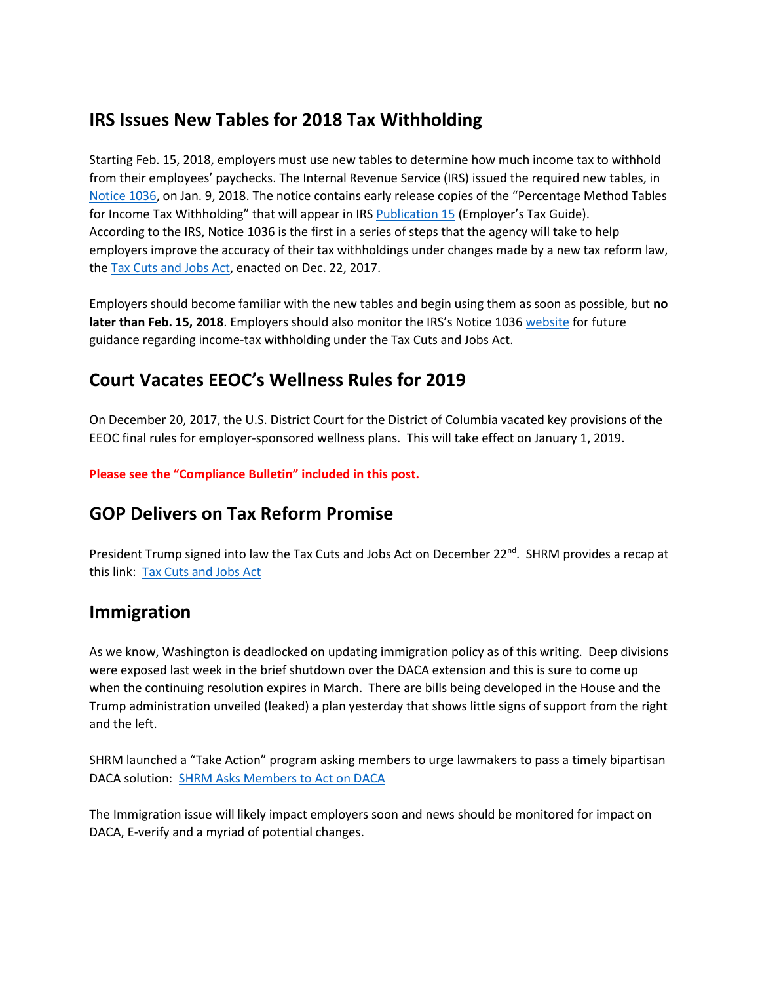#### **IRS Issues New Tables for 2018 Tax Withholding**

Starting Feb. 15, 2018, employers must use new tables to determine how much income tax to withhold from their employees' paychecks. The Internal Revenue Service (IRS) issued the required new tables, in [Notice 1036](https://www.irs.gov/pub/irs-prior/n1036--2018.pdf), on Jan. 9, 2018. The notice contains early release copies of the "Percentage Method Tables for Income Tax Withholding" that will appear in IRS [Publication 15](https://www.irs.gov/forms-pubs/about-publication-15) (Employer's Tax Guide). According to the IRS, Notice 1036 is the first in a series of steps that the agency will take to help employers improve the accuracy of their tax withholdings under changes made by a new tax reform law, th[e Tax Cuts and Jobs Act,](https://www.congress.gov/115/bills/hr1/BILLS-115hr1enr.pdf) enacted on Dec. 22, 2017.

Employers should become familiar with the new tables and begin using them as soon as possible, but **no later than Feb. 15, 2018**. Employers should also monitor the IRS's Notice 1036 [website](https://www.irs.gov/forms-pubs/about-notice-1036) for future guidance regarding income-tax withholding under the Tax Cuts and Jobs Act.

# **Court Vacates EEOC's Wellness Rules for 2019**

On December 20, 2017, the U.S. District Court for the District of Columbia vacated key provisions of the EEOC final rules for employer-sponsored wellness plans. This will take effect on January 1, 2019.

**Please see the "Compliance Bulletin" included in this post.**

#### **GOP Delivers on Tax Reform Promise**

President Trump signed into law the Tax Cuts and Jobs Act on December 22<sup>nd</sup>. SHRM provides a recap at this link: [Tax Cuts and Jobs Act](https://www.shrm.org/hr-today/public-policy/hr-public-policy-issues/pages/gop-delivers-on-tax-reform-promise.aspx)

#### **Immigration**

As we know, Washington is deadlocked on updating immigration policy as of this writing. Deep divisions were exposed last week in the brief shutdown over the DACA extension and this is sure to come up when the continuing resolution expires in March. There are bills being developed in the House and the Trump administration unveiled (leaked) a plan yesterday that shows little signs of support from the right and the left.

SHRM launched a "Take Action" program asking members to urge lawmakers to pass a timely bipartisan DACA solution: [SHRM Asks Members to Act on DACA](http://www.advocacy.shrm.org/app/write-a-letter?3&engagementId=423233)

The Immigration issue will likely impact employers soon and news should be monitored for impact on DACA, E-verify and a myriad of potential changes.